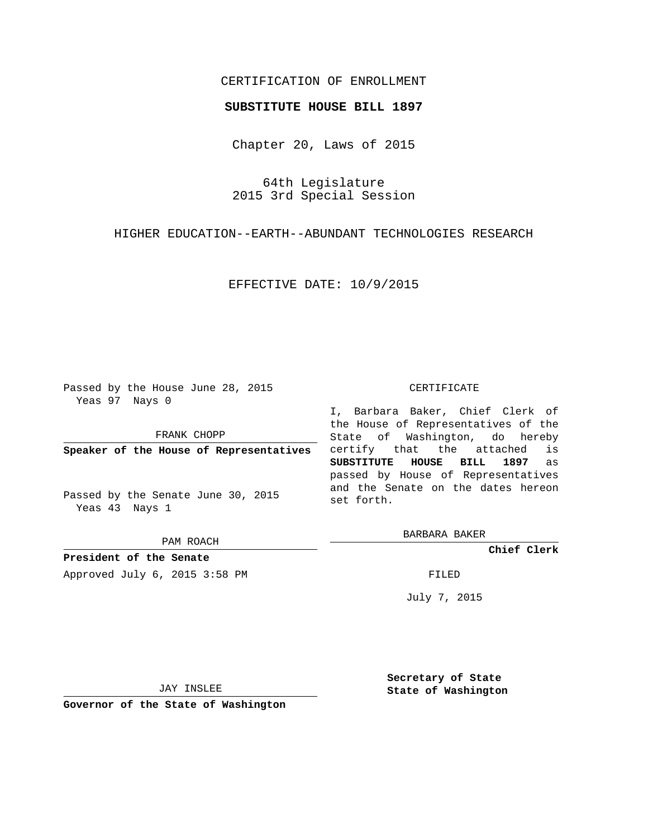# CERTIFICATION OF ENROLLMENT

### **SUBSTITUTE HOUSE BILL 1897**

Chapter 20, Laws of 2015

64th Legislature 2015 3rd Special Session

HIGHER EDUCATION--EARTH--ABUNDANT TECHNOLOGIES RESEARCH

EFFECTIVE DATE: 10/9/2015

Passed by the House June 28, 2015 Yeas 97 Nays 0

FRANK CHOPP

**Speaker of the House of Representatives**

Passed by the Senate June 30, 2015 Yeas 43 Nays 1

PAM ROACH

**President of the Senate** Approved July 6, 2015 3:58 PM FILED

### CERTIFICATE

I, Barbara Baker, Chief Clerk of the House of Representatives of the State of Washington, do hereby certify that the attached is **SUBSTITUTE HOUSE BILL 1897** as passed by House of Representatives and the Senate on the dates hereon set forth.

BARBARA BAKER

**Chief Clerk**

July 7, 2015

JAY INSLEE

**Governor of the State of Washington**

**Secretary of State State of Washington**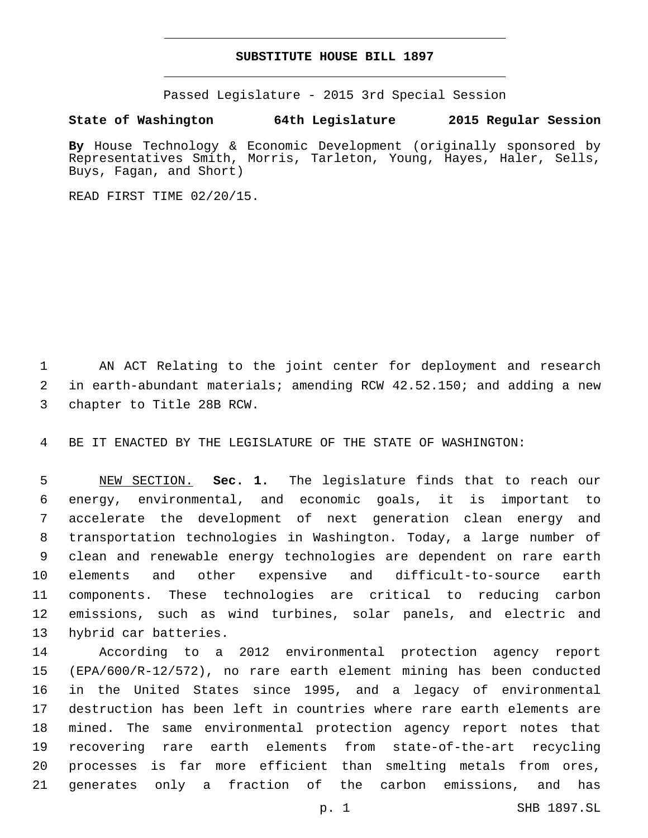## **SUBSTITUTE HOUSE BILL 1897**

Passed Legislature - 2015 3rd Special Session

## **State of Washington 64th Legislature 2015 Regular Session**

**By** House Technology & Economic Development (originally sponsored by Representatives Smith, Morris, Tarleton, Young, Hayes, Haler, Sells, Buys, Fagan, and Short)

READ FIRST TIME 02/20/15.

 AN ACT Relating to the joint center for deployment and research in earth-abundant materials; amending RCW 42.52.150; and adding a new 3 chapter to Title 28B RCW.

BE IT ENACTED BY THE LEGISLATURE OF THE STATE OF WASHINGTON:

 NEW SECTION. **Sec. 1.** The legislature finds that to reach our energy, environmental, and economic goals, it is important to accelerate the development of next generation clean energy and transportation technologies in Washington. Today, a large number of clean and renewable energy technologies are dependent on rare earth elements and other expensive and difficult-to-source earth components. These technologies are critical to reducing carbon emissions, such as wind turbines, solar panels, and electric and hybrid car batteries.

 According to a 2012 environmental protection agency report (EPA/600/R-12/572), no rare earth element mining has been conducted in the United States since 1995, and a legacy of environmental destruction has been left in countries where rare earth elements are mined. The same environmental protection agency report notes that recovering rare earth elements from state-of-the-art recycling processes is far more efficient than smelting metals from ores, generates only a fraction of the carbon emissions, and has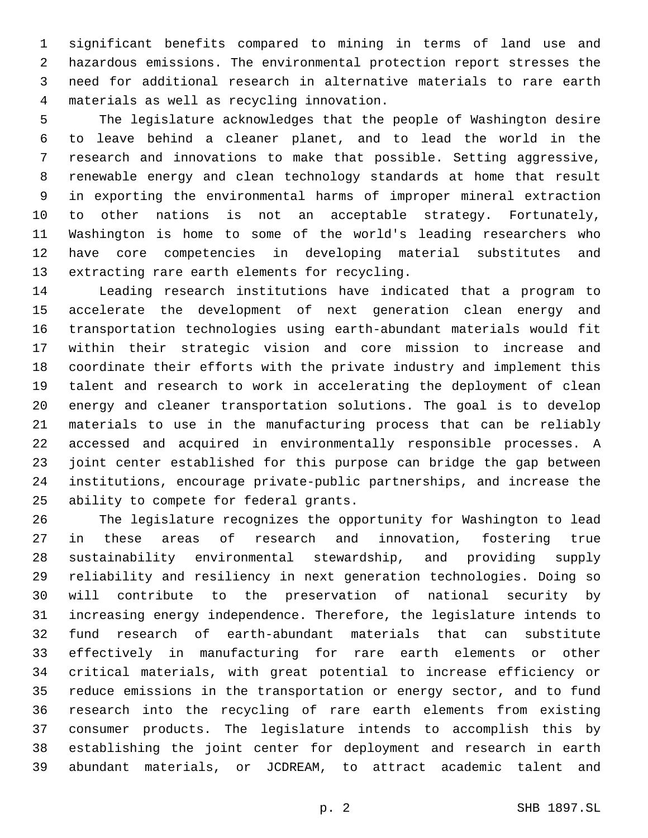significant benefits compared to mining in terms of land use and hazardous emissions. The environmental protection report stresses the need for additional research in alternative materials to rare earth materials as well as recycling innovation.4

 The legislature acknowledges that the people of Washington desire to leave behind a cleaner planet, and to lead the world in the research and innovations to make that possible. Setting aggressive, renewable energy and clean technology standards at home that result in exporting the environmental harms of improper mineral extraction to other nations is not an acceptable strategy. Fortunately, Washington is home to some of the world's leading researchers who have core competencies in developing material substitutes and 13 extracting rare earth elements for recycling.

 Leading research institutions have indicated that a program to accelerate the development of next generation clean energy and transportation technologies using earth-abundant materials would fit within their strategic vision and core mission to increase and coordinate their efforts with the private industry and implement this talent and research to work in accelerating the deployment of clean energy and cleaner transportation solutions. The goal is to develop materials to use in the manufacturing process that can be reliably accessed and acquired in environmentally responsible processes. A joint center established for this purpose can bridge the gap between institutions, encourage private-public partnerships, and increase the 25 ability to compete for federal grants.

 The legislature recognizes the opportunity for Washington to lead in these areas of research and innovation, fostering true sustainability environmental stewardship, and providing supply reliability and resiliency in next generation technologies. Doing so will contribute to the preservation of national security by increasing energy independence. Therefore, the legislature intends to fund research of earth-abundant materials that can substitute effectively in manufacturing for rare earth elements or other critical materials, with great potential to increase efficiency or reduce emissions in the transportation or energy sector, and to fund research into the recycling of rare earth elements from existing consumer products. The legislature intends to accomplish this by establishing the joint center for deployment and research in earth abundant materials, or JCDREAM, to attract academic talent and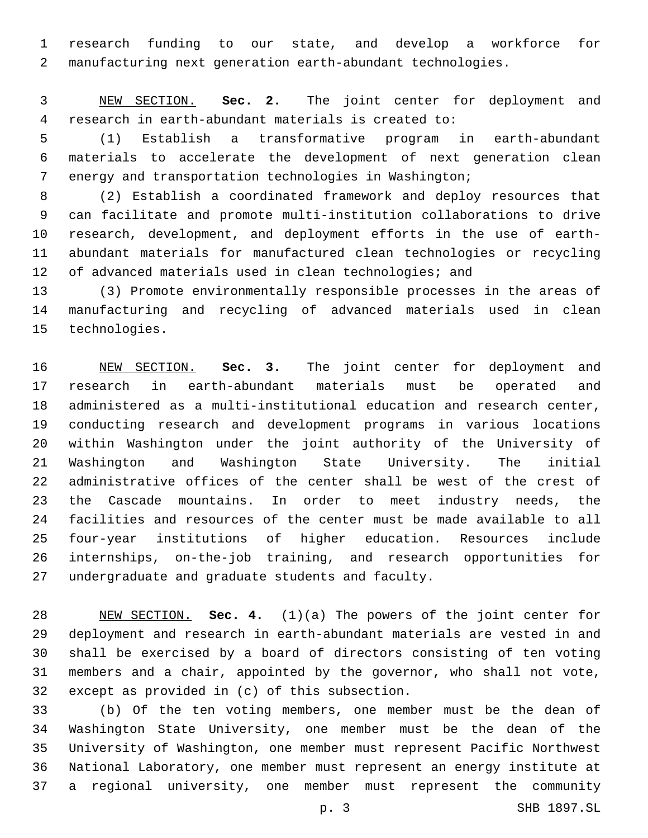research funding to our state, and develop a workforce for manufacturing next generation earth-abundant technologies.

 NEW SECTION. **Sec. 2.** The joint center for deployment and research in earth-abundant materials is created to:

 (1) Establish a transformative program in earth-abundant materials to accelerate the development of next generation clean energy and transportation technologies in Washington;

 (2) Establish a coordinated framework and deploy resources that can facilitate and promote multi-institution collaborations to drive research, development, and deployment efforts in the use of earth- abundant materials for manufactured clean technologies or recycling 12 of advanced materials used in clean technologies; and

 (3) Promote environmentally responsible processes in the areas of manufacturing and recycling of advanced materials used in clean 15 technologies.

 NEW SECTION. **Sec. 3.** The joint center for deployment and research in earth-abundant materials must be operated and administered as a multi-institutional education and research center, conducting research and development programs in various locations within Washington under the joint authority of the University of Washington and Washington State University. The initial administrative offices of the center shall be west of the crest of the Cascade mountains. In order to meet industry needs, the facilities and resources of the center must be made available to all four-year institutions of higher education. Resources include internships, on-the-job training, and research opportunities for undergraduate and graduate students and faculty.

 NEW SECTION. **Sec. 4.** (1)(a) The powers of the joint center for deployment and research in earth-abundant materials are vested in and shall be exercised by a board of directors consisting of ten voting members and a chair, appointed by the governor, who shall not vote, except as provided in (c) of this subsection.

 (b) Of the ten voting members, one member must be the dean of Washington State University, one member must be the dean of the University of Washington, one member must represent Pacific Northwest National Laboratory, one member must represent an energy institute at a regional university, one member must represent the community

p. 3 SHB 1897.SL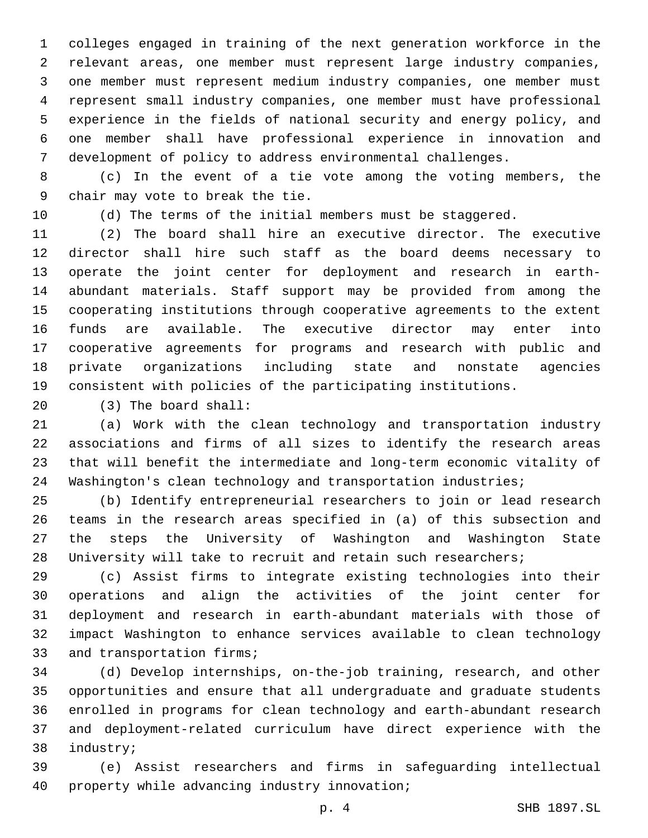colleges engaged in training of the next generation workforce in the relevant areas, one member must represent large industry companies, one member must represent medium industry companies, one member must represent small industry companies, one member must have professional experience in the fields of national security and energy policy, and one member shall have professional experience in innovation and development of policy to address environmental challenges.

 (c) In the event of a tie vote among the voting members, the 9 chair may vote to break the tie.

(d) The terms of the initial members must be staggered.

 (2) The board shall hire an executive director. The executive director shall hire such staff as the board deems necessary to operate the joint center for deployment and research in earth- abundant materials. Staff support may be provided from among the cooperating institutions through cooperative agreements to the extent funds are available. The executive director may enter into cooperative agreements for programs and research with public and private organizations including state and nonstate agencies consistent with policies of the participating institutions.

(3) The board shall:20

 (a) Work with the clean technology and transportation industry associations and firms of all sizes to identify the research areas that will benefit the intermediate and long-term economic vitality of Washington's clean technology and transportation industries;

 (b) Identify entrepreneurial researchers to join or lead research teams in the research areas specified in (a) of this subsection and the steps the University of Washington and Washington State University will take to recruit and retain such researchers;

 (c) Assist firms to integrate existing technologies into their operations and align the activities of the joint center for deployment and research in earth-abundant materials with those of impact Washington to enhance services available to clean technology 33 and transportation firms;

 (d) Develop internships, on-the-job training, research, and other opportunities and ensure that all undergraduate and graduate students enrolled in programs for clean technology and earth-abundant research and deployment-related curriculum have direct experience with the 38 industry;

 (e) Assist researchers and firms in safeguarding intellectual 40 property while advancing industry innovation;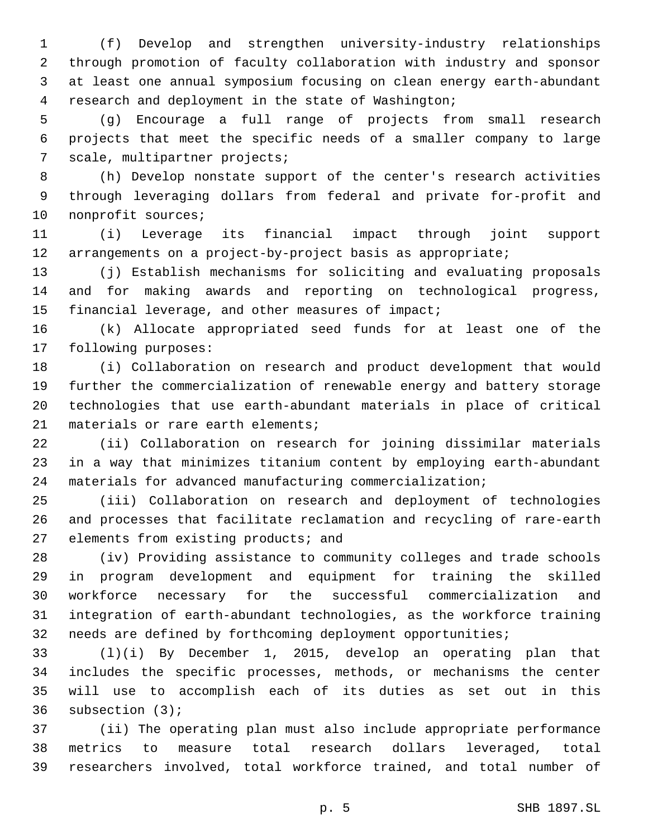(f) Develop and strengthen university-industry relationships through promotion of faculty collaboration with industry and sponsor at least one annual symposium focusing on clean energy earth-abundant research and deployment in the state of Washington;

 (g) Encourage a full range of projects from small research projects that meet the specific needs of a smaller company to large 7 scale, multipartner projects;

 (h) Develop nonstate support of the center's research activities through leveraging dollars from federal and private for-profit and 10 nonprofit sources;

 (i) Leverage its financial impact through joint support 12 arrangements on a project-by-project basis as appropriate;

 (j) Establish mechanisms for soliciting and evaluating proposals and for making awards and reporting on technological progress, 15 financial leverage, and other measures of impact;

 (k) Allocate appropriated seed funds for at least one of the 17 following purposes:

 (i) Collaboration on research and product development that would further the commercialization of renewable energy and battery storage technologies that use earth-abundant materials in place of critical 21 materials or rare earth elements;

 (ii) Collaboration on research for joining dissimilar materials in a way that minimizes titanium content by employing earth-abundant materials for advanced manufacturing commercialization;

 (iii) Collaboration on research and deployment of technologies and processes that facilitate reclamation and recycling of rare-earth 27 elements from existing products; and

 (iv) Providing assistance to community colleges and trade schools in program development and equipment for training the skilled workforce necessary for the successful commercialization and integration of earth-abundant technologies, as the workforce training needs are defined by forthcoming deployment opportunities;

 (l)(i) By December 1, 2015, develop an operating plan that includes the specific processes, methods, or mechanisms the center will use to accomplish each of its duties as set out in this 36 subsection (3);

 (ii) The operating plan must also include appropriate performance metrics to measure total research dollars leveraged, total researchers involved, total workforce trained, and total number of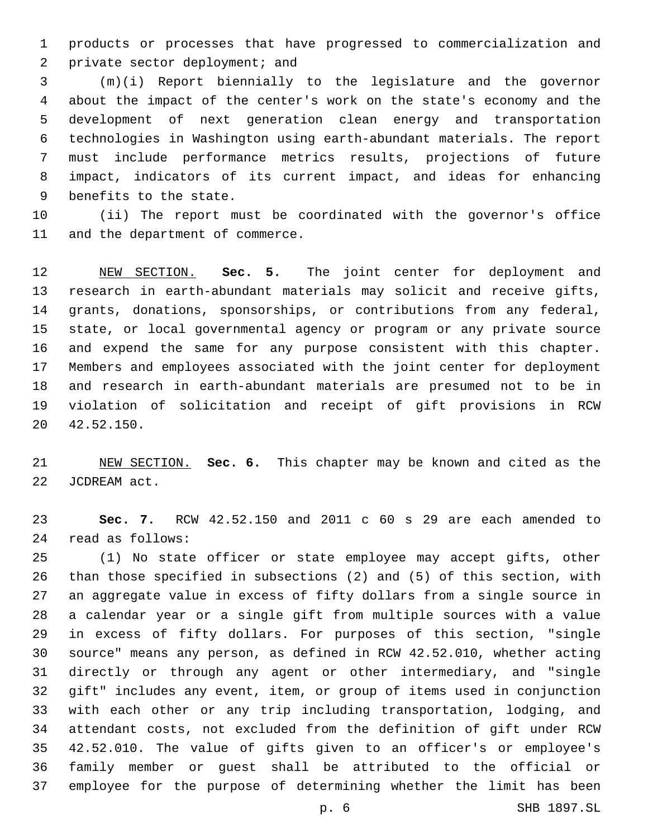products or processes that have progressed to commercialization and 2 private sector deployment; and

 (m)(i) Report biennially to the legislature and the governor about the impact of the center's work on the state's economy and the development of next generation clean energy and transportation technologies in Washington using earth-abundant materials. The report must include performance metrics results, projections of future impact, indicators of its current impact, and ideas for enhancing 9 benefits to the state.

 (ii) The report must be coordinated with the governor's office 11 and the department of commerce.

 NEW SECTION. **Sec. 5.** The joint center for deployment and research in earth-abundant materials may solicit and receive gifts, grants, donations, sponsorships, or contributions from any federal, state, or local governmental agency or program or any private source and expend the same for any purpose consistent with this chapter. Members and employees associated with the joint center for deployment and research in earth-abundant materials are presumed not to be in violation of solicitation and receipt of gift provisions in RCW 42.52.150.20

 NEW SECTION. **Sec. 6.** This chapter may be known and cited as the JCDREAM act.

 **Sec. 7.** RCW 42.52.150 and 2011 c 60 s 29 are each amended to read as follows:24

 (1) No state officer or state employee may accept gifts, other than those specified in subsections (2) and (5) of this section, with an aggregate value in excess of fifty dollars from a single source in a calendar year or a single gift from multiple sources with a value in excess of fifty dollars. For purposes of this section, "single source" means any person, as defined in RCW 42.52.010, whether acting directly or through any agent or other intermediary, and "single gift" includes any event, item, or group of items used in conjunction with each other or any trip including transportation, lodging, and attendant costs, not excluded from the definition of gift under RCW 42.52.010. The value of gifts given to an officer's or employee's family member or guest shall be attributed to the official or employee for the purpose of determining whether the limit has been

p. 6 SHB 1897.SL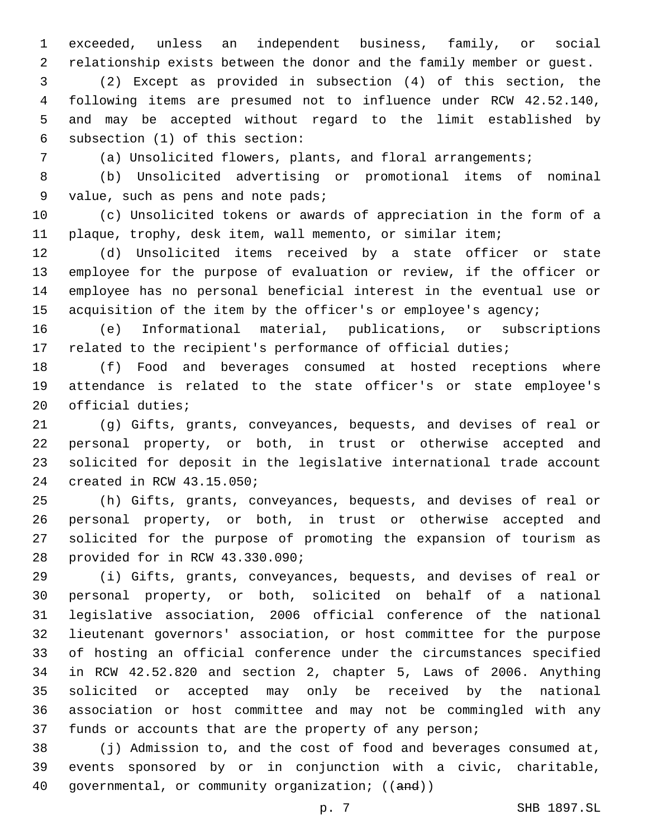exceeded, unless an independent business, family, or social relationship exists between the donor and the family member or guest.

 (2) Except as provided in subsection (4) of this section, the following items are presumed not to influence under RCW 42.52.140, and may be accepted without regard to the limit established by 6 subsection  $(1)$  of this section:

(a) Unsolicited flowers, plants, and floral arrangements;

 (b) Unsolicited advertising or promotional items of nominal 9 value, such as pens and note pads;

 (c) Unsolicited tokens or awards of appreciation in the form of a plaque, trophy, desk item, wall memento, or similar item;

 (d) Unsolicited items received by a state officer or state employee for the purpose of evaluation or review, if the officer or employee has no personal beneficial interest in the eventual use or 15 acquisition of the item by the officer's or employee's agency;

 (e) Informational material, publications, or subscriptions related to the recipient's performance of official duties;

 (f) Food and beverages consumed at hosted receptions where attendance is related to the state officer's or state employee's 20 official duties;

 (g) Gifts, grants, conveyances, bequests, and devises of real or personal property, or both, in trust or otherwise accepted and solicited for deposit in the legislative international trade account 24 created in RCW 43.15.050;

 (h) Gifts, grants, conveyances, bequests, and devises of real or personal property, or both, in trust or otherwise accepted and solicited for the purpose of promoting the expansion of tourism as 28 provided for in RCW 43.330.090;

 (i) Gifts, grants, conveyances, bequests, and devises of real or personal property, or both, solicited on behalf of a national legislative association, 2006 official conference of the national lieutenant governors' association, or host committee for the purpose of hosting an official conference under the circumstances specified in RCW 42.52.820 and section 2, chapter 5, Laws of 2006. Anything solicited or accepted may only be received by the national association or host committee and may not be commingled with any funds or accounts that are the property of any person;

 (j) Admission to, and the cost of food and beverages consumed at, events sponsored by or in conjunction with a civic, charitable, governmental, or community organization; ((and))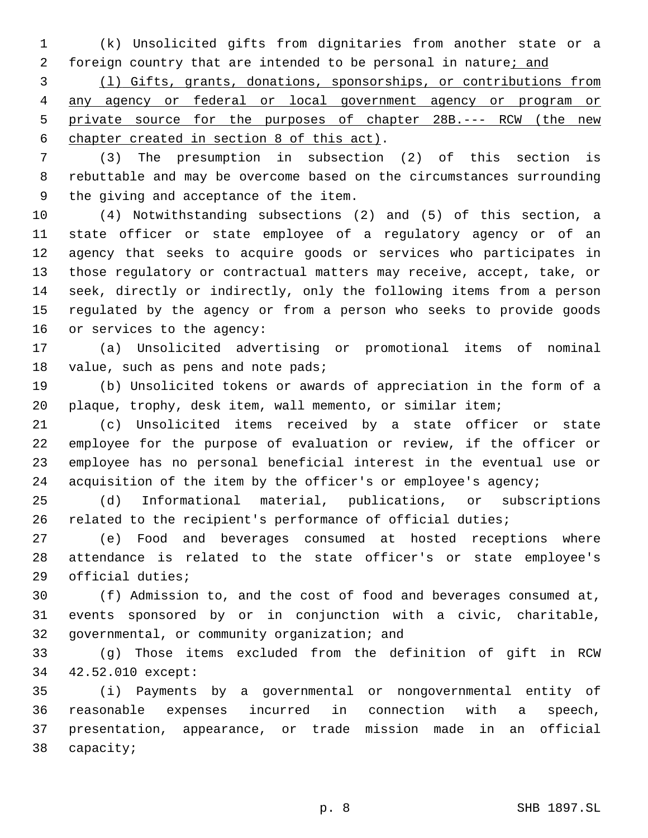(k) Unsolicited gifts from dignitaries from another state or a 2 foreign country that are intended to be personal in nature; and

 (l) Gifts, grants, donations, sponsorships, or contributions from any agency or federal or local government agency or program or private source for the purposes of chapter 28B.--- RCW (the new 6 chapter created in section 8 of this act).

 (3) The presumption in subsection (2) of this section is rebuttable and may be overcome based on the circumstances surrounding 9 the giving and acceptance of the item.

 (4) Notwithstanding subsections (2) and (5) of this section, a state officer or state employee of a regulatory agency or of an agency that seeks to acquire goods or services who participates in those regulatory or contractual matters may receive, accept, take, or seek, directly or indirectly, only the following items from a person regulated by the agency or from a person who seeks to provide goods 16 or services to the agency:

 (a) Unsolicited advertising or promotional items of nominal 18 value, such as pens and note pads;

 (b) Unsolicited tokens or awards of appreciation in the form of a plaque, trophy, desk item, wall memento, or similar item;

 (c) Unsolicited items received by a state officer or state employee for the purpose of evaluation or review, if the officer or employee has no personal beneficial interest in the eventual use or 24 acquisition of the item by the officer's or employee's agency;

 (d) Informational material, publications, or subscriptions related to the recipient's performance of official duties;

 (e) Food and beverages consumed at hosted receptions where attendance is related to the state officer's or state employee's 29 official duties;

 (f) Admission to, and the cost of food and beverages consumed at, events sponsored by or in conjunction with a civic, charitable, 32 governmental, or community organization; and

 (g) Those items excluded from the definition of gift in RCW 42.52.010 except:34

 (i) Payments by a governmental or nongovernmental entity of reasonable expenses incurred in connection with a speech, presentation, appearance, or trade mission made in an official 38 capacity;